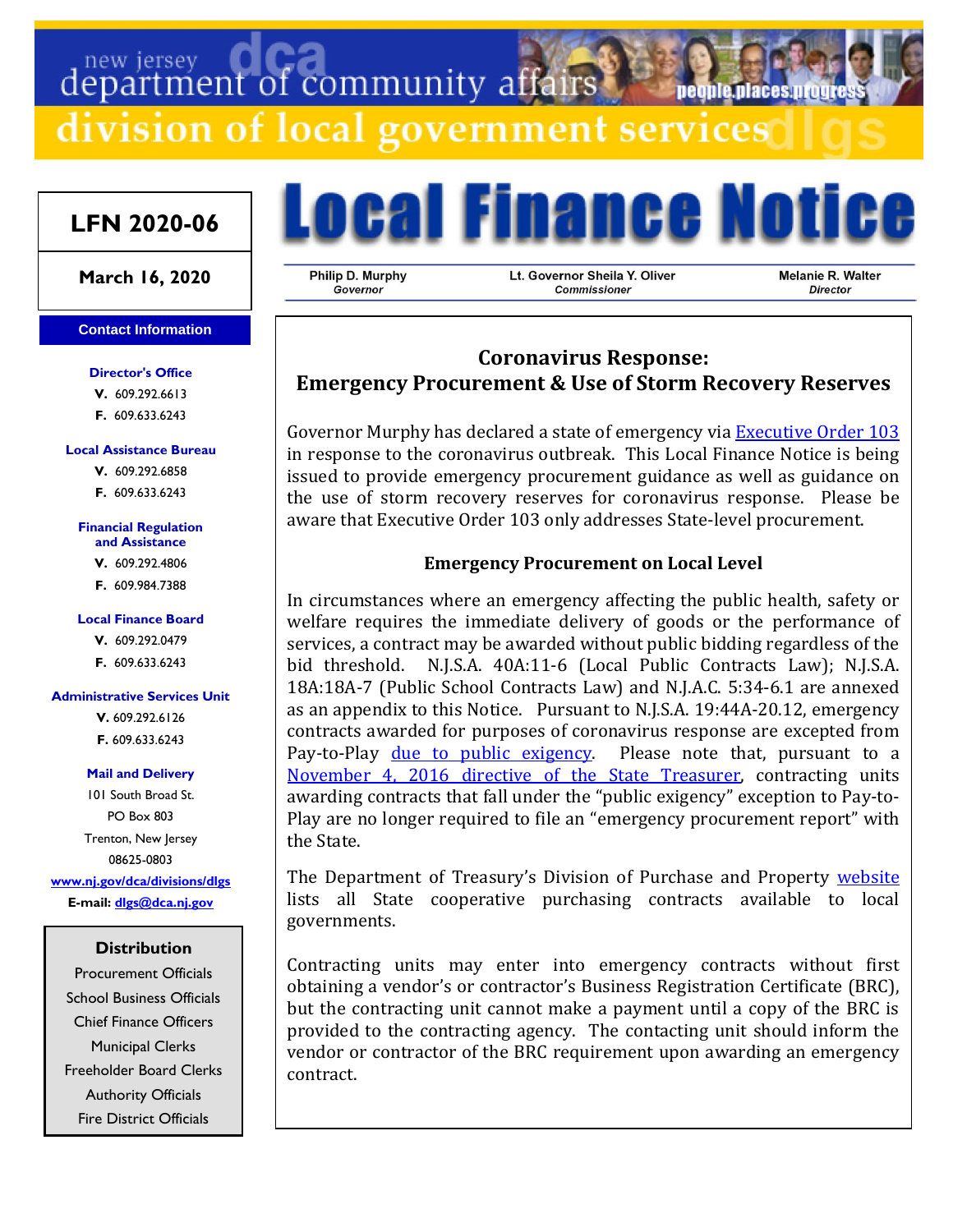# department of community affairs

division of local government services

# **LFN 2020-06**

## **March 16, 2020**

#### **Contact Information**

#### **Director's Office**

**V.** 609.292.6613 **F.** 609.633.6243

#### **Local Assistance Bureau**

**V.** 609.292.6858 **F.** 609.633.6243

#### **Financial Regulation and Assistance**

**V.** 609.292.4806

**F.** 609.984.7388

#### **Local Finance Board V.** 609.292.0479

**F.** 609.633.6243

#### **Administrative Services Unit**

**V.** 609.292.6126 **F.** 609.633.6243

#### **Mail and Delivery**

101 South Broad St. PO Box 803 Trenton, New Jersey 08625-0803 **[www.nj.gov/dca/divisions/dlgs](http://www.nj.gov/dca/divisions/dlgs) E-mail: [dlgs@dca.nj.gov](mailto:dlgs@dca.nj.gov)**

### **Distribution**

Procurement Officials School Business Officials Chief Finance Officers Municipal Clerks Freeholder Board Clerks Authority Officials Fire District Officials

**Local Finance Notice** 

Philip D. Murphy Governor

Lt. Governor Sheila Y. Oliver Commissioner

Melanie R. Walter Director

**Deonie Diaces urot** 

# **Coronavirus Response: Emergency Procurement & Use of Storm Recovery Reserves**

Governor Murphy has declared a state of emergency via **[Executive Order 103](https://nj.gov/infobank/eo/056murphy/pdf/EO-103.pdf)** in response to the coronavirus outbreak. This Local Finance Notice is being issued to provide emergency procurement guidance as well as guidance on the use of storm recovery reserves for coronavirus response. Please be aware that Executive Order 103 only addresses State-level procurement.

## **Emergency Procurement on Local Level**

In circumstances where an emergency affecting the public health, safety or welfare requires the immediate delivery of goods or the performance of services, a contract may be awarded without public bidding regardless of the bid threshold. N.J.S.A. 40A:11-6 (Local Public Contracts Law); N.J.S.A. 18A:18A-7 (Public School Contracts Law) and N.J.A.C. 5:34-6.1 are annexed as an appendix to this Notice. Pursuant to N.J.S.A. 19:44A-20.12, emergency contracts awarded for purposes of coronavirus response are excepted from Pay-to-Play [due to public exigency.](https://www.nj.gov/dca/divisions/dlgs/programs/lpcl_docs/public_exigencies.pdf) Please note that, pursuant to a [November 4, 2016 directive of the State Treasurer,](https://www.nj.gov/dca/divisions/dlgs/programs/lpcl_docs/treasurer_scudder_directive_%20re_public_exigencies.pdf) contracting units awarding contracts that fall under the "public exigency" exception to Pay-to-Play are no longer required to file an "emergency procurement report" with the State.

The Department of Treasury's Division of Purchase and Property [website](https://www.nj.gov/treasury/purchase/coop_purchase_contracts.shtml) lists all State cooperative purchasing contracts available to local governments.

Contracting units may enter into emergency contracts without first obtaining a vendor's or contractor's Business Registration Certificate (BRC), but the contracting unit cannot make a payment until a copy of the BRC is provided to the contracting agency. The contacting unit should inform the vendor or contractor of the BRC requirement upon awarding an emergency contract.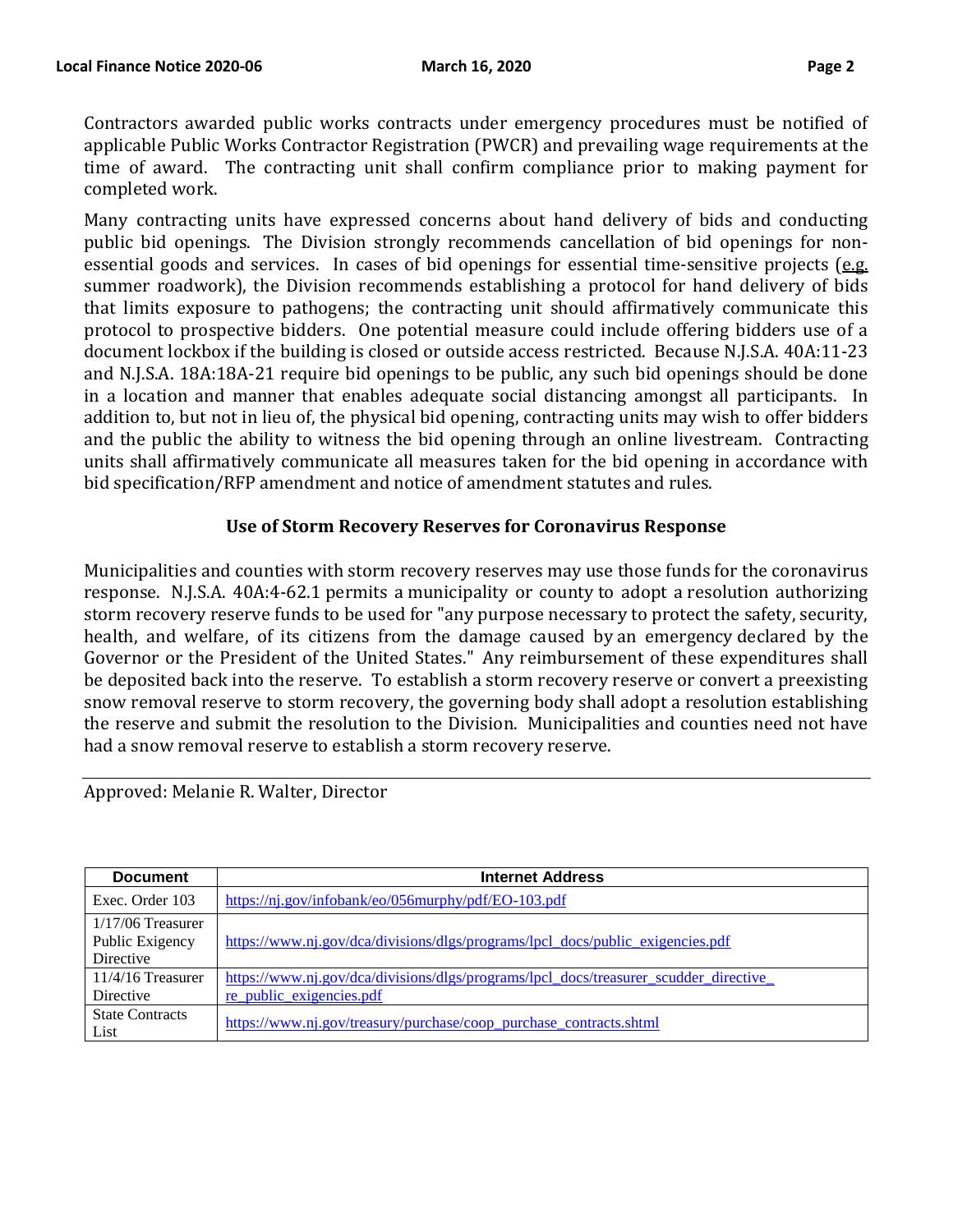Contractors awarded public works contracts under emergency procedures must be notified of applicable Public Works Contractor Registration (PWCR) and prevailing wage requirements at the time of award. The contracting unit shall confirm compliance prior to making payment for completed work.

Many contracting units have expressed concerns about hand delivery of bids and conducting public bid openings. The Division strongly recommends cancellation of bid openings for nonessential goods and services. In cases of bid openings for essential time-sensitive projects ( $e.g.$ summer roadwork), the Division recommends establishing a protocol for hand delivery of bids that limits exposure to pathogens; the contracting unit should affirmatively communicate this protocol to prospective bidders. One potential measure could include offering bidders use of a document lockbox if the building is closed or outside access restricted. Because N.J.S.A. 40A:11-23 and N.J.S.A. 18A:18A-21 require bid openings to be public, any such bid openings should be done in a location and manner that enables adequate social distancing amongst all participants. In addition to, but not in lieu of, the physical bid opening, contracting units may wish to offer bidders and the public the ability to witness the bid opening through an online livestream. Contracting units shall affirmatively communicate all measures taken for the bid opening in accordance with bid specification/RFP amendment and notice of amendment statutes and rules.

## **Use of Storm Recovery Reserves for Coronavirus Response**

Municipalities and counties with storm recovery reserves may use those funds for the coronavirus response. N.J.S.A. 40A:4-62.1 permits a municipality or county to adopt a resolution authorizing storm recovery reserve funds to be used for "any purpose necessary to protect the safety, security, health, and welfare, of its citizens from the damage caused by an emergency declared by the Governor or the President of the United States." Any reimbursement of these expenditures shall be deposited back into the reserve. To establish a storm recovery reserve or convert a preexisting snow removal reserve to storm recovery, the governing body shall adopt a resolution establishing the reserve and submit the resolution to the Division. Municipalities and counties need not have had a snow removal reserve to establish a storm recovery reserve.

| <b>Document</b>                                     | <b>Internet Address</b>                                                                                          |
|-----------------------------------------------------|------------------------------------------------------------------------------------------------------------------|
| Exec. Order 103                                     | https://nj.gov/infobank/eo/056murphy/pdf/EO-103.pdf                                                              |
| $1/17/06$ Treasurer<br>Public Exigency<br>Directive | https://www.nj.gov/dca/divisions/dlgs/programs/lpcl_docs/public_exigencies.pdf                                   |
| $11/4/16$ Treasurer<br>Directive                    | https://www.nj.gov/dca/divisions/dlgs/programs/lpcl docs/treasurer scudder directive<br>re public exigencies.pdf |
| <b>State Contracts</b><br>List                      | https://www.nj.gov/treasury/purchase/coop_purchase_contracts.shtml                                               |

Approved: Melanie R. Walter, Director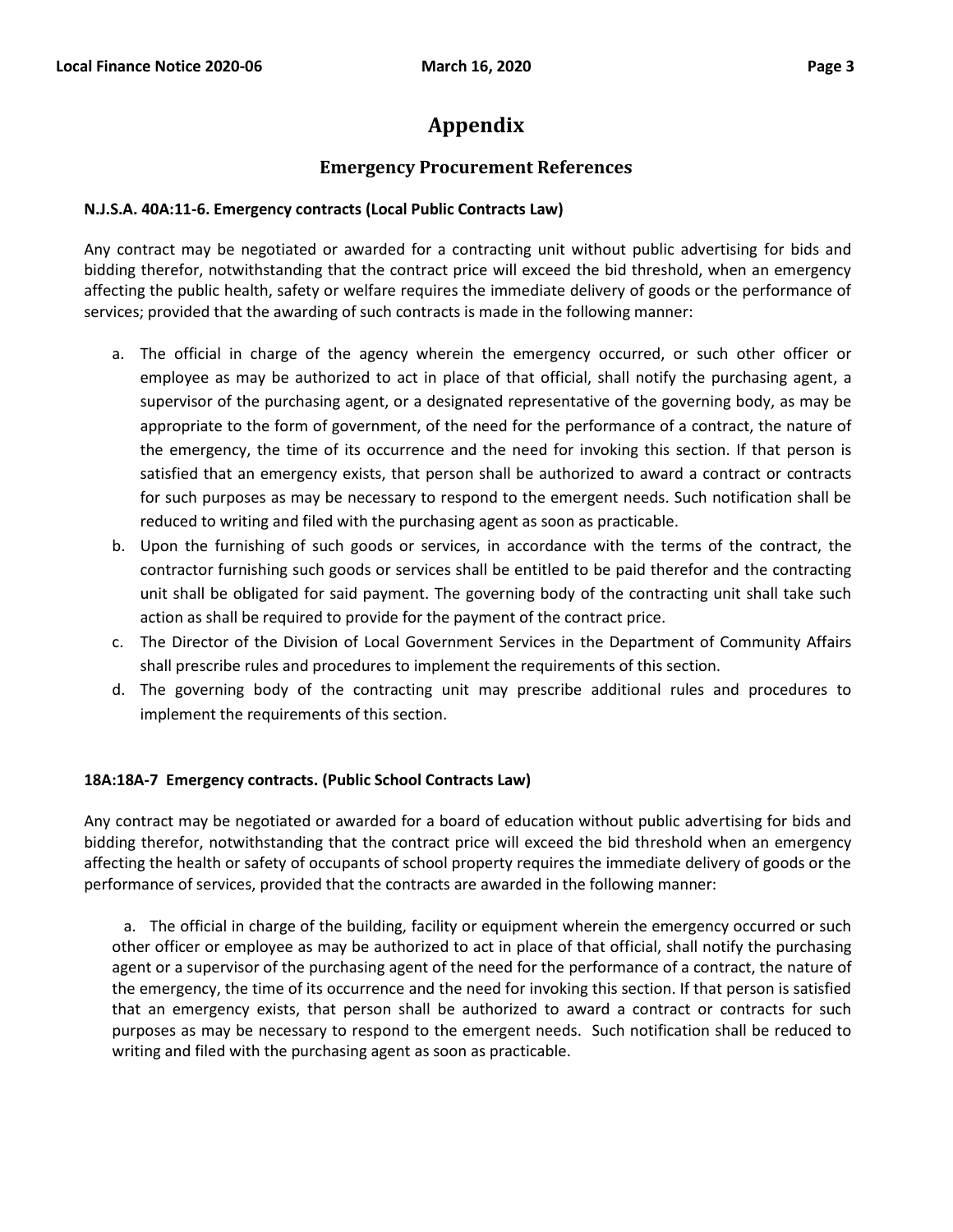# **Appendix**

# **Emergency Procurement References**

## **N.J.S.A. 40A:11-6. Emergency contracts (Local Public Contracts Law)**

Any contract may be negotiated or awarded for a contracting unit without public advertising for bids and bidding therefor, notwithstanding that the contract price will exceed the bid threshold, when an emergency affecting the public health, safety or welfare requires the immediate delivery of goods or the performance of services; provided that the awarding of such contracts is made in the following manner:

- a. The official in charge of the agency wherein the emergency occurred, or such other officer or employee as may be authorized to act in place of that official, shall notify the purchasing agent, a supervisor of the purchasing agent, or a designated representative of the governing body, as may be appropriate to the form of government, of the need for the performance of a contract, the nature of the emergency, the time of its occurrence and the need for invoking this section. If that person is satisfied that an emergency exists, that person shall be authorized to award a contract or contracts for such purposes as may be necessary to respond to the emergent needs. Such notification shall be reduced to writing and filed with the purchasing agent as soon as practicable.
- b. Upon the furnishing of such goods or services, in accordance with the terms of the contract, the contractor furnishing such goods or services shall be entitled to be paid therefor and the contracting unit shall be obligated for said payment. The governing body of the contracting unit shall take such action as shall be required to provide for the payment of the contract price.
- c. The Director of the Division of Local Government Services in the Department of Community Affairs shall prescribe rules and procedures to implement the requirements of this section.
- d. The governing body of the contracting unit may prescribe additional rules and procedures to implement the requirements of this section.

## **18A:18A-7 Emergency contracts. (Public School Contracts Law)**

Any contract may be negotiated or awarded for a board of education without public advertising for bids and bidding therefor, notwithstanding that the contract price will exceed the bid threshold when an emergency affecting the health or safety of occupants of school property requires the immediate delivery of goods or the performance of services, provided that the contracts are awarded in the following manner:

a. The official in charge of the building, facility or equipment wherein the emergency occurred or such other officer or employee as may be authorized to act in place of that official, shall notify the purchasing agent or a supervisor of the purchasing agent of the need for the performance of a contract, the nature of the emergency, the time of its occurrence and the need for invoking this section. If that person is satisfied that an emergency exists, that person shall be authorized to award a contract or contracts for such purposes as may be necessary to respond to the emergent needs. Such notification shall be reduced to writing and filed with the purchasing agent as soon as practicable.